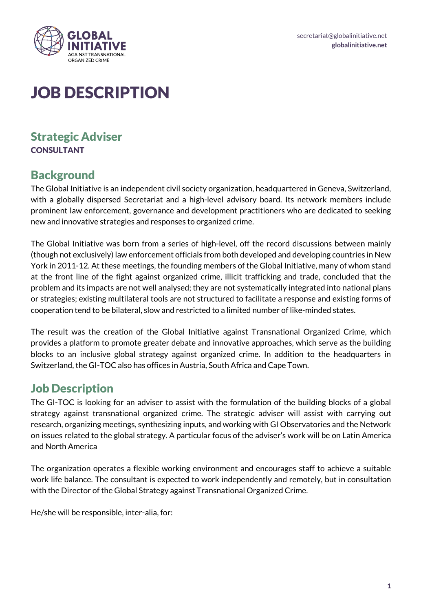

# JOB DESCRIPTION

### Strategic Adviser **CONSULTANT**

## **Background**

The Global Initiative is an independent civil society organization, headquartered in Geneva, Switzerland, with a globally dispersed Secretariat and a high-level advisory board. Its network members include prominent law enforcement, governance and development practitioners who are dedicated to seeking new and innovative strategies and responses to organized crime.

The Global Initiative was born from a series of high-level, off the record discussions between mainly (though not exclusively) law enforcement officials from both developed and developing countries in New York in 2011-12. At these meetings, the founding members of the Global Initiative, many of whom stand at the front line of the fight against organized crime, illicit trafficking and trade, concluded that the problem and its impacts are not well analysed; they are not systematically integrated into national plans or strategies; existing multilateral tools are not structured to facilitate a response and existing forms of cooperation tend to be bilateral, slow and restricted to a limited number of like-minded states.

The result was the creation of the Global Initiative against Transnational Organized Crime, which provides a platform to promote greater debate and innovative approaches, which serve as the building blocks to an inclusive global strategy against organized crime. In addition to the headquarters in Switzerland, the GI-TOC also has offices in Austria, South Africa and Cape Town.

### Job Description

The GI-TOC is looking for an adviser to assist with the formulation of the building blocks of a global strategy against transnational organized crime. The strategic adviser will assist with carrying out research, organizing meetings, synthesizing inputs, and working with GI Observatories and the Network on issues related to the global strategy. A particular focus of the adviser's work will be on Latin America and North America

The organization operates a flexible working environment and encourages staff to achieve a suitable work life balance. The consultant is expected to work independently and remotely, but in consultation with the Director of the Global Strategy against Transnational Organized Crime.

He/she will be responsible, inter-alia, for: